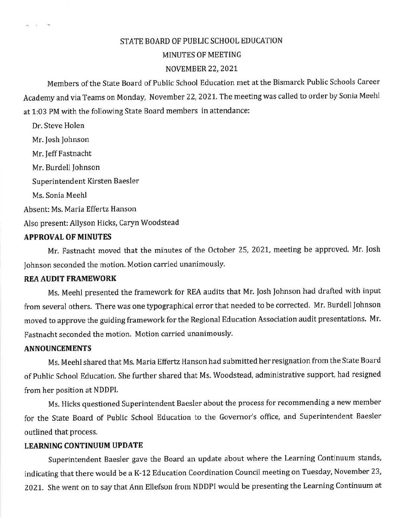## STATE BOARD OF PUBLIC SCHOOL EDUCATION

#### MINUTES OF MEETING

#### NOVEMBER 22, 2021

Members of the State Board of Public School Education met at the Bismarck Public Schools Career Academy and via Teams on Monday, November 22, 2021. The meeting was called to order by Sonia Meehl at 1:03 PM with the following State Board members in attendance:

Dr. Steve Holen Mr. Josh Johnson Mr. Jeff Fastnacht Mr. Burdell Johnson Superintendent Kirsten Baesler Ms. Sonia Meehl Absent: Ms. Maria Effertz Hanson Also present: Allyson Hicks, Caryn Woodstead

#### **APPROVAL OF MINUTES**

 $m = 12$ 

Mr. Fastnacht moved that the minutes of the October 25, 2021, meeting be approved. Mr. Josh Johnson seconded the motion. Motion carried unanimously.

#### **REA AUDIT FRAMEWORK**

Ms. Meehl presented the framework for REA audits that Mr. Josh Johnson had drafted with input from several others. There was one typographical error that needed to be corrected. Mr. Burdell Johnson moved to approve the guiding framework for the Regional Education Association audit presentations. Mr. Fastnacht seconded the motion. Motion carried unanimously.

#### **ANNOUNCEMENTS**

Ms. Meehl shared that Ms. Maria Effertz Hanson had submitted her resignation from the State Board of Public School Education. She further shared that Ms. Woodstead, administrative support, had resigned from her position at NDDPI.

Ms. Hicks questioned Superintendent Baesler about the process for recommending a new member for the State Board of Public School Education to the Governor's office, and Superintendent Baesler outlined that process.

### **LEARNING CONTINUUM UPDATE**

Superintendent Baesler gave the Board an update about where the Learning Continuum stands, indicating that there would be a K-12 Education Coordination Council meeting on Tuesday, November 23, 2021. She went on to say that Ann Ellefson from NDDPI would be presenting the Learning Continuum at